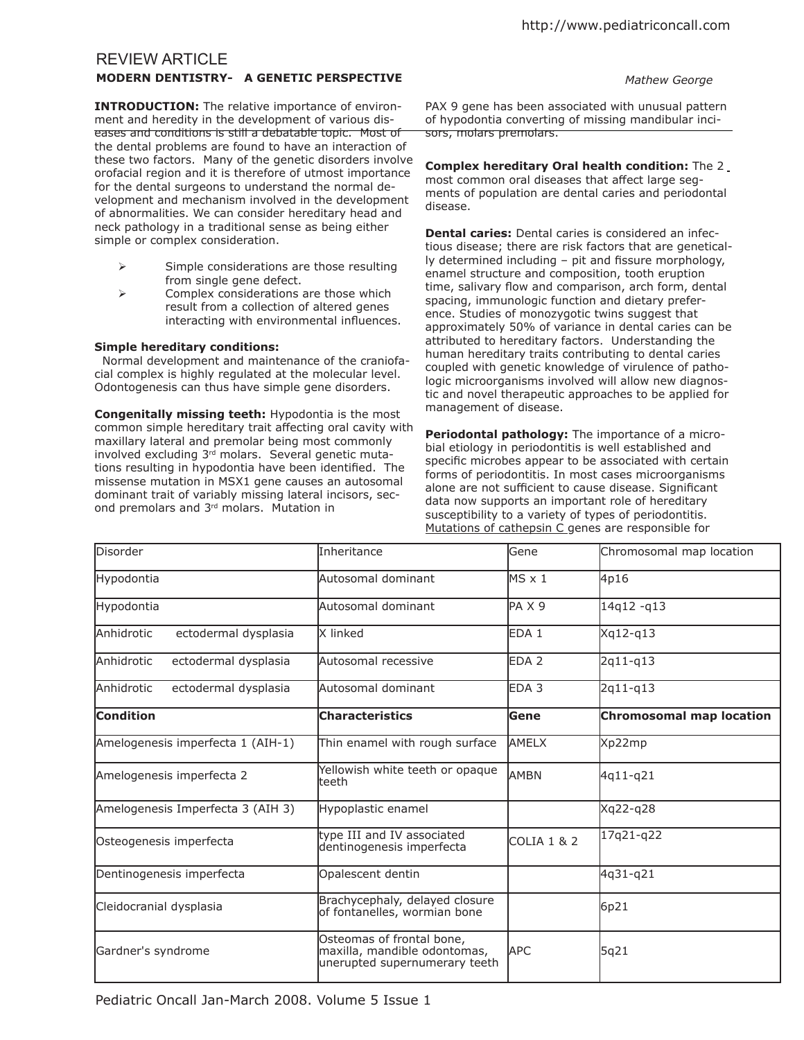# REVIEW ARTICLE

## **MODERN DENTISTRY- A GENETIC PERSPECTIVE** *Mathew George*

**INTRODUCTION:** The relative importance of environment and heredity in the development of various diseases and conditions is still a debatable topic. Most of the dental problems are found to have an interaction of these two factors. Many of the genetic disorders involve orofacial region and it is therefore of utmost importance for the dental surgeons to understand the normal development and mechanism involved in the development of abnormalities. We can consider hereditary head and neck pathology in a traditional sense as being either simple or complex consideration.

- $\triangleright$  Simple considerations are those resulting from single gene defect.
- $\triangleright$  Complex considerations are those which result from a collection of altered genes interacting with environmental influences.

# **Simple hereditary conditions:**

 Normal development and maintenance of the craniofacial complex is highly regulated at the molecular level. Odontogenesis can thus have simple gene disorders.

**Congenitally missing teeth:** Hypodontia is the most common simple hereditary trait afecting oral cavity with maxillary lateral and premolar being most commonly involved excluding 3<sup>rd</sup> molars. Several genetic mutations resulting in hypodontia have been identified. The missense mutation in MSX1 gene causes an autosomal dominant trait of variably missing lateral incisors, second premolars and 3rd molars. Mutation in

PAX 9 gene has been associated with unusual pattern of hypodontia converting of missing mandibular incisors, molars premolars.

**Complex hereditary Oral health condition:** The 2 most common oral diseases that afect large segments of population are dental caries and periodontal disease.

**Dental caries:** Dental caries is considered an infectious disease; there are risk factors that are genetical- $Iy$  determined including  $-$  pit and fissure morphology, enamel structure and composition, tooth eruption time, salivary flow and comparison, arch form, dental spacing, immunologic function and dietary preference. Studies of monozygotic twins suggest that approximately 50% of variance in dental caries can be attributed to hereditary factors. Understanding the human hereditary traits contributing to dental caries coupled with genetic knowledge of virulence of pathologic microorganisms involved will allow new diagnostic and novel therapeutic approaches to be applied for management of disease.

**Periodontal pathology:** The importance of a microbial etiology in periodontitis is well established and specific microbes appear to be associated with certain forms of periodontitis. In most cases microorganisms alone are not sufficient to cause disease. Significant data now supports an important role of hereditary susceptibility to a variety of types of periodontitis. Mutations of cathepsin C genes are responsible for

| Disorder                                  | Inheritance                                                                                | lGene                  | Chromosomal map location        |
|-------------------------------------------|--------------------------------------------------------------------------------------------|------------------------|---------------------------------|
| Hypodontia                                | Autosomal dominant                                                                         | $MS \times 1$          | 4p16                            |
| Hypodontia                                | Autosomal dominant                                                                         | $PA \times 9$          | 14q12-q13                       |
| ectodermal dysplasia<br><b>Anhidrotic</b> | X linked                                                                                   | EDA 1                  | Xq12-q13                        |
| <b>Anhidrotic</b><br>ectodermal dysplasia | Autosomal recessive                                                                        | EDA <sub>2</sub>       | 2q11-q13                        |
| Anhidrotic<br>ectodermal dysplasia        | Autosomal dominant                                                                         | EDA <sub>3</sub>       | 2q11-q13                        |
| <b>Condition</b>                          | <b>Characteristics</b>                                                                     | lGene                  | <b>Chromosomal map location</b> |
| Amelogenesis imperfecta 1 (AIH-1)         | Thin enamel with rough surface                                                             | <b>AMELX</b>           | Xp22mp                          |
| Amelogenesis imperfecta 2                 | Yellowish white teeth or opaque<br>teeth                                                   | AMBN                   | 4q11-q21                        |
| Amelogenesis Imperfecta 3 (AIH 3)         | Hypoplastic enamel                                                                         |                        | Xq22-q28                        |
| Osteogenesis imperfecta                   | type III and IV associated<br>dentinogenesis imperfecta                                    | <b>COLIA 1 &amp; 2</b> | 17q21-q22                       |
| Dentinogenesis imperfecta                 | Opalescent dentin                                                                          |                        | 4q31-q21                        |
| Cleidocranial dysplasia                   | Brachycephaly, delayed closure<br>of fontanelles, wormian bone                             |                        | 6p21                            |
| Gardner's syndrome                        | Osteomas of frontal bone,<br>maxilla, mandible odontomas,<br>unerupted supernumerary teeth | <b>APC</b>             | 5q21                            |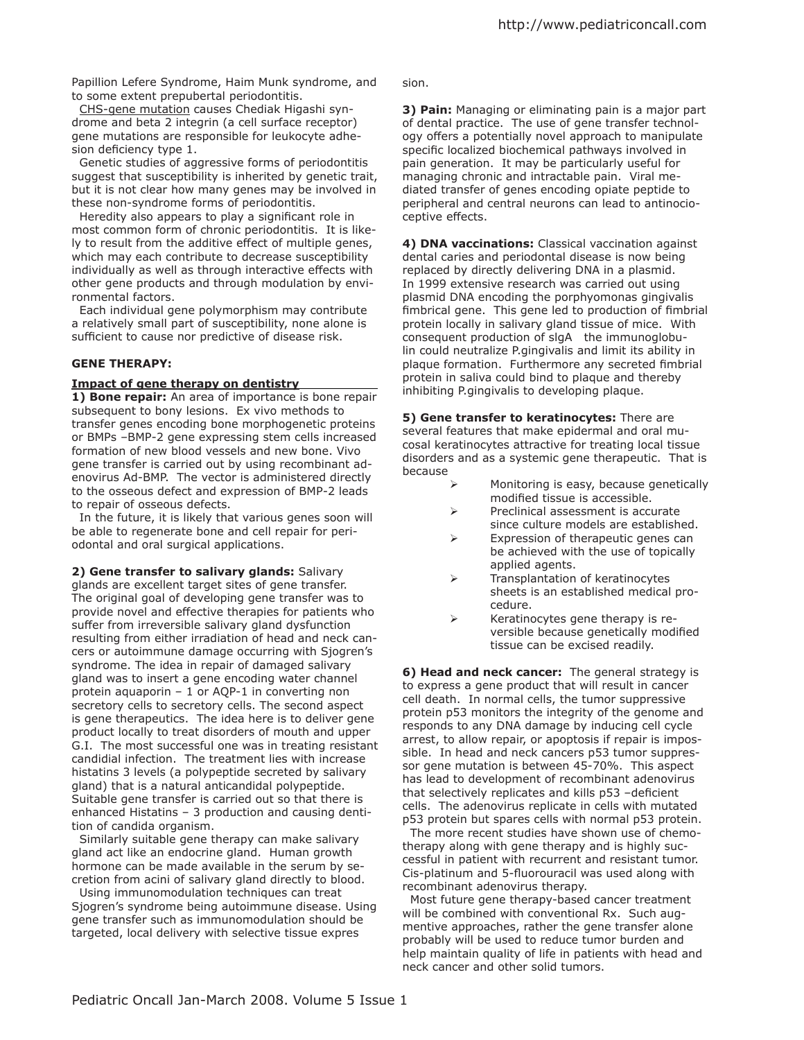Papillion Lefere Syndrome, Haim Munk syndrome, and to some extent prepubertal periodontitis.

 CHS-gene mutation causes Chediak Higashi syndrome and beta 2 integrin (a cell surface receptor) gene mutations are responsible for leukocyte adhesion deficiency type 1.

 Genetic studies of aggressive forms of periodontitis suggest that susceptibility is inherited by genetic trait, but it is not clear how many genes may be involved in these non-syndrome forms of periodontitis.

Heredity also appears to play a significant role in most common form of chronic periodontitis. It is likely to result from the additive efect of multiple genes, which may each contribute to decrease susceptibility individually as well as through interactive efects with other gene products and through modulation by environmental factors.

 Each individual gene polymorphism may contribute a relatively small part of susceptibility, none alone is sufficient to cause nor predictive of disease risk.

## **GENE THERAPY:**

### **Impact of gene therapy on dentistry**

**1) Bone repair:** An area of importance is bone repair subsequent to bony lesions. Ex vivo methods to transfer genes encoding bone morphogenetic proteins or BMPs –BMP-2 gene expressing stem cells increased formation of new blood vessels and new bone. Vivo gene transfer is carried out by using recombinant adenovirus Ad-BMP. The vector is administered directly to the osseous defect and expression of BMP-2 leads to repair of osseous defects.

 In the future, it is likely that various genes soon will be able to regenerate bone and cell repair for periodontal and oral surgical applications.

**2) Gene transfer to salivary glands:** Salivary glands are excellent target sites of gene transfer. The original goal of developing gene transfer was to provide novel and efective therapies for patients who suffer from irreversible salivary gland dysfunction resulting from either irradiation of head and neck cancers or autoimmune damage occurring with Sjogren's syndrome. The idea in repair of damaged salivary gland was to insert a gene encoding water channel protein aquaporin – 1 or AQP-1 in converting non secretory cells to secretory cells. The second aspect is gene therapeutics. The idea here is to deliver gene product locally to treat disorders of mouth and upper G.I. The most successful one was in treating resistant candidial infection. The treatment lies with increase histatins 3 levels (a polypeptide secreted by salivary gland) that is a natural anticandidal polypeptide. Suitable gene transfer is carried out so that there is enhanced Histatins – 3 production and causing dentition of candida organism.

 Similarly suitable gene therapy can make salivary gland act like an endocrine gland. Human growth hormone can be made available in the serum by secretion from acini of salivary gland directly to blood.

 Using immunomodulation techniques can treat Sjogren's syndrome being autoimmune disease. Using gene transfer such as immunomodulation should be targeted, local delivery with selective tissue expres

sion.

**3) Pain:** Managing or eliminating pain is a major part of dental practice. The use of gene transfer technology offers a potentially novel approach to manipulate specific localized biochemical pathways involved in pain generation. It may be particularly useful for managing chronic and intractable pain. Viral mediated transfer of genes encoding opiate peptide to peripheral and central neurons can lead to antinocioceptive effects.

**4) DNA vaccinations:** Classical vaccination against dental caries and periodontal disease is now being replaced by directly delivering DNA in a plasmid. In 1999 extensive research was carried out using plasmid DNA encoding the porphyomonas gingivalis fimbrical gene. This gene led to production of fimbrial protein locally in salivary gland tissue of mice. With consequent production of slgA the immunoglobulin could neutralize P.gingivalis and limit its ability in plaque formation. Furthermore any secreted fimbrial protein in saliva could bind to plaque and thereby inhibiting P.gingivalis to developing plaque.

**5) Gene transfer to keratinocytes:** There are several features that make epidermal and oral mucosal keratinocytes attractive for treating local tissue disorders and as a systemic gene therapeutic. That is because

- Monitoring is easy, because genetically modified tissue is accessible.
- $\triangleright$  Preclinical assessment is accurate since culture models are established.
- Expression of therapeutic genes can be achieved with the use of topically applied agents.
- $\triangleright$  Transplantation of keratinocytes sheets is an established medical procedure.
- $\triangleright$  Keratinocytes gene therapy is reversible because genetically modified tissue can be excised readily.

**6) Head and neck cancer:** The general strategy is to express a gene product that will result in cancer cell death. In normal cells, the tumor suppressive protein p53 monitors the integrity of the genome and responds to any DNA damage by inducing cell cycle arrest, to allow repair, or apoptosis if repair is impossible. In head and neck cancers p53 tumor suppressor gene mutation is between 45-70%. This aspect has lead to development of recombinant adenovirus that selectively replicates and kills  $p53$  -deficient cells. The adenovirus replicate in cells with mutated p53 protein but spares cells with normal p53 protein.

 The more recent studies have shown use of chemotherapy along with gene therapy and is highly successful in patient with recurrent and resistant tumor. Cis-platinum and 5-fluorouracil was used along with recombinant adenovirus therapy.

 Most future gene therapy-based cancer treatment will be combined with conventional Rx. Such augmentive approaches, rather the gene transfer alone probably will be used to reduce tumor burden and help maintain quality of life in patients with head and neck cancer and other solid tumors.